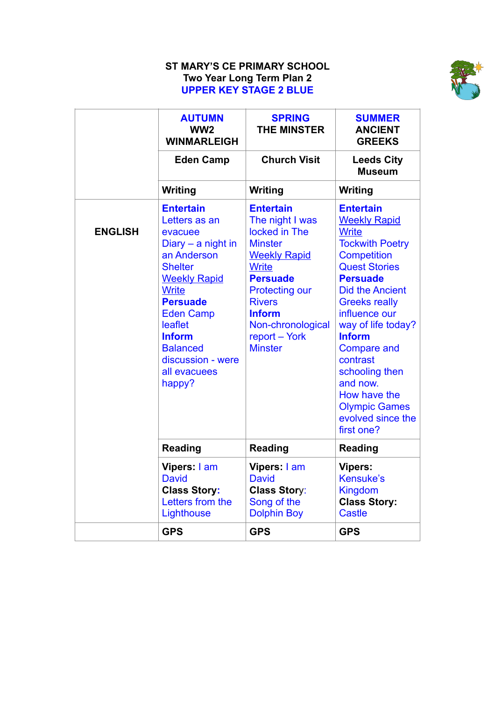

## **ST MARY'S CE PRIMARY SCHOOL Two Year Long Term Plan 2 UPPER KEY STAGE 2 BLUE**

|                | <b>AUTUMN</b><br>WW <sub>2</sub><br><b>WINMARLEIGH</b>                                                                                                                                                                                                                            | <b>SPRING</b><br><b>THE MINSTER</b>                                                                                                                                                                                                                 | <b>SUMMER</b><br><b>ANCIENT</b><br><b>GREEKS</b>                                                                                                                                                                                                                                                                                                                                                        |
|----------------|-----------------------------------------------------------------------------------------------------------------------------------------------------------------------------------------------------------------------------------------------------------------------------------|-----------------------------------------------------------------------------------------------------------------------------------------------------------------------------------------------------------------------------------------------------|---------------------------------------------------------------------------------------------------------------------------------------------------------------------------------------------------------------------------------------------------------------------------------------------------------------------------------------------------------------------------------------------------------|
|                | <b>Eden Camp</b>                                                                                                                                                                                                                                                                  | <b>Church Visit</b>                                                                                                                                                                                                                                 | <b>Leeds City</b><br><b>Museum</b>                                                                                                                                                                                                                                                                                                                                                                      |
|                | Writing                                                                                                                                                                                                                                                                           | Writing                                                                                                                                                                                                                                             | Writing                                                                                                                                                                                                                                                                                                                                                                                                 |
| <b>ENGLISH</b> | <b>Entertain</b><br>Letters as an<br>evacuee<br>Diary $-$ a night in<br>an Anderson<br><b>Shelter</b><br><b>Weekly Rapid</b><br><b>Write</b><br><b>Persuade</b><br><b>Eden Camp</b><br>leaflet<br><b>Inform</b><br><b>Balanced</b><br>discussion - were<br>all evacuees<br>happy? | <b>Entertain</b><br>The night I was<br>locked in The<br><b>Minster</b><br><b>Weekly Rapid</b><br><b>Write</b><br><b>Persuade</b><br><b>Protecting our</b><br><b>Rivers</b><br><b>Inform</b><br>Non-chronological<br>report - York<br><b>Minster</b> | <b>Entertain</b><br><b>Weekly Rapid</b><br><b>Write</b><br><b>Tockwith Poetry</b><br><b>Competition</b><br><b>Quest Stories</b><br><b>Persuade</b><br><b>Did the Ancient</b><br><b>Greeks really</b><br>influence our<br>way of life today?<br><b>Inform</b><br><b>Compare and</b><br>contrast<br>schooling then<br>and now.<br>How have the<br><b>Olympic Games</b><br>evolved since the<br>first one? |
|                | <b>Reading</b>                                                                                                                                                                                                                                                                    | <b>Reading</b>                                                                                                                                                                                                                                      | <b>Reading</b>                                                                                                                                                                                                                                                                                                                                                                                          |
|                | Vipers: I am<br><b>David</b><br><b>Class Story:</b><br>Letters from the<br>Lighthouse                                                                                                                                                                                             | Vipers: I am<br><b>David</b><br><b>Class Story:</b><br>Song of the<br><b>Dolphin Boy</b>                                                                                                                                                            | <b>Vipers:</b><br><b>Kensuke's</b><br><b>Kingdom</b><br><b>Class Story:</b><br><b>Castle</b>                                                                                                                                                                                                                                                                                                            |
|                | <b>GPS</b>                                                                                                                                                                                                                                                                        | <b>GPS</b>                                                                                                                                                                                                                                          | <b>GPS</b>                                                                                                                                                                                                                                                                                                                                                                                              |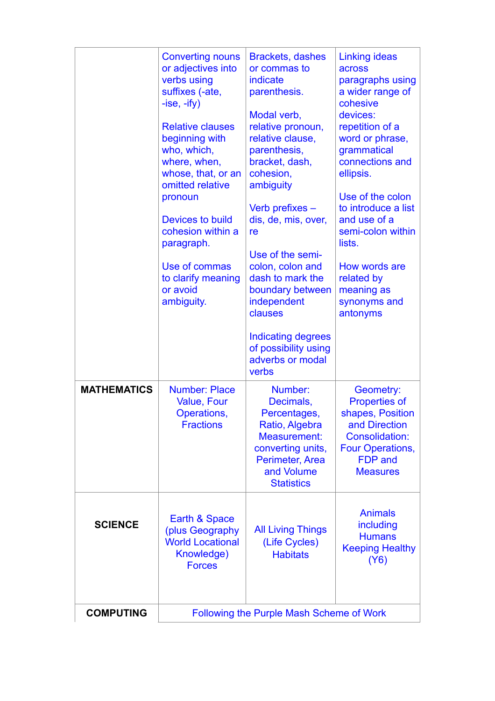|                    | <b>Converting nouns</b><br>or adjectives into<br>verbs using<br>suffixes (-ate,<br>$-ise, -ify)$<br><b>Relative clauses</b><br>beginning with<br>who, which,<br>where, when,<br>whose, that, or an<br>omitted relative<br>pronoun<br>Devices to build<br>cohesion within a<br>paragraph.<br>Use of commas<br>to clarify meaning<br>or avoid<br>ambiguity. | <b>Brackets, dashes</b><br>or commas to<br>indicate<br>parenthesis.<br>Modal verb,<br>relative pronoun,<br>relative clause,<br>parenthesis,<br>bracket, dash,<br>cohesion,<br>ambiguity<br>Verb prefixes -<br>dis, de, mis, over,<br>re<br>Use of the semi-<br>colon, colon and<br>dash to mark the<br>boundary between<br>independent<br>clauses<br><b>Indicating degrees</b><br>of possibility using<br>adverbs or modal<br>verbs | <b>Linking ideas</b><br>across<br>paragraphs using<br>a wider range of<br>cohesive<br>devices:<br>repetition of a<br>word or phrase,<br>grammatical<br>connections and<br>ellipsis.<br>Use of the colon<br>to introduce a list<br>and use of a<br>semi-colon within<br>lists.<br>How words are<br>related by<br>meaning as<br>synonyms and<br>antonyms |
|--------------------|-----------------------------------------------------------------------------------------------------------------------------------------------------------------------------------------------------------------------------------------------------------------------------------------------------------------------------------------------------------|-------------------------------------------------------------------------------------------------------------------------------------------------------------------------------------------------------------------------------------------------------------------------------------------------------------------------------------------------------------------------------------------------------------------------------------|--------------------------------------------------------------------------------------------------------------------------------------------------------------------------------------------------------------------------------------------------------------------------------------------------------------------------------------------------------|
| <b>MATHEMATICS</b> | Number: Place<br><b>Value, Four</b><br>Operations,<br><b>Fractions</b>                                                                                                                                                                                                                                                                                    | Number:<br>Decimals,<br>Percentages,<br>Ratio, Algebra<br>Measurement:<br>converting units,<br>Perimeter, Area<br>and Volume<br><b>Statistics</b>                                                                                                                                                                                                                                                                                   | Geometry:<br><b>Properties of</b><br>shapes, Position<br>and Direction<br>Consolidation:<br>Four Operations,<br><b>FDP</b> and<br><b>Measures</b>                                                                                                                                                                                                      |
| <b>SCIENCE</b>     | Earth & Space<br>(plus Geography<br><b>World Locational</b><br>Knowledge)<br><b>Forces</b>                                                                                                                                                                                                                                                                | <b>All Living Things</b><br>(Life Cycles)<br><b>Habitats</b>                                                                                                                                                                                                                                                                                                                                                                        | <b>Animals</b><br>including<br><b>Humans</b><br><b>Keeping Healthy</b><br>(Y6)                                                                                                                                                                                                                                                                         |
| <b>COMPUTING</b>   | Following the Purple Mash Scheme of Work                                                                                                                                                                                                                                                                                                                  |                                                                                                                                                                                                                                                                                                                                                                                                                                     |                                                                                                                                                                                                                                                                                                                                                        |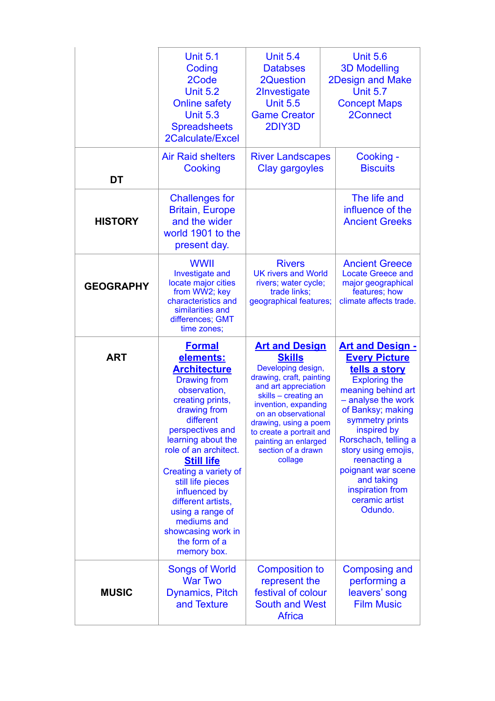|                  | <b>Unit 5.1</b><br>Coding<br>2Code<br><b>Unit 5.2</b><br><b>Online safety</b><br><b>Unit 5.3</b><br><b>Spreadsheets</b><br>2Calculate/Excel                                                                                                                                                                                                                                                                     | <b>Unit 5.4</b><br><b>Databses</b><br><b>2Question</b><br>2Investigate<br><b>Unit 5.5</b><br><b>Game Creator</b><br>2DIY3D                                                                                                                                                                            | <b>Unit 5.6</b><br><b>3D Modelling</b><br><b>2Design and Make</b><br><b>Unit 5.7</b><br><b>Concept Maps</b><br>2Connect                                                                                                                                                                                                                         |
|------------------|-----------------------------------------------------------------------------------------------------------------------------------------------------------------------------------------------------------------------------------------------------------------------------------------------------------------------------------------------------------------------------------------------------------------|-------------------------------------------------------------------------------------------------------------------------------------------------------------------------------------------------------------------------------------------------------------------------------------------------------|-------------------------------------------------------------------------------------------------------------------------------------------------------------------------------------------------------------------------------------------------------------------------------------------------------------------------------------------------|
| DT               | <b>Air Raid shelters</b><br>Cooking                                                                                                                                                                                                                                                                                                                                                                             | <b>River Landscapes</b><br>Clay gargoyles                                                                                                                                                                                                                                                             | Cooking -<br><b>Biscuits</b>                                                                                                                                                                                                                                                                                                                    |
| <b>HISTORY</b>   | <b>Challenges for</b><br><b>Britain, Europe</b><br>and the wider<br>world 1901 to the<br>present day.                                                                                                                                                                                                                                                                                                           |                                                                                                                                                                                                                                                                                                       | The life and<br>influence of the<br><b>Ancient Greeks</b>                                                                                                                                                                                                                                                                                       |
| <b>GEOGRAPHY</b> | <b>WWII</b><br>Investigate and<br>locate major cities<br>from WW2; key<br>characteristics and<br>similarities and<br>differences; GMT<br>time zones;                                                                                                                                                                                                                                                            | <b>Rivers</b><br><b>UK rivers and World</b><br>rivers; water cycle;<br>trade links;<br>geographical features;                                                                                                                                                                                         | <b>Ancient Greece</b><br><b>Locate Greece and</b><br>major geographical<br>features; how<br>climate affects trade.                                                                                                                                                                                                                              |
|                  |                                                                                                                                                                                                                                                                                                                                                                                                                 |                                                                                                                                                                                                                                                                                                       |                                                                                                                                                                                                                                                                                                                                                 |
| <b>ART</b>       | <b>Formal</b><br>elements:<br><b>Architecture</b><br><b>Drawing from</b><br>observation,<br>creating prints,<br>drawing from<br>different<br>perspectives and<br>learning about the<br>role of an architect.<br><b>Still life</b><br>Creating a variety of<br>still life pieces<br>influenced by<br>different artists,<br>using a range of<br>mediums and<br>showcasing work in<br>the form of a<br>memory box. | <b>Art and Design</b><br><b>Skills</b><br>Developing design,<br>drawing, craft, painting<br>and art appreciation<br>skills - creating an<br>invention, expanding<br>on an observational<br>drawing, using a poem<br>to create a portrait and<br>painting an enlarged<br>section of a drawn<br>collage | <b>Art and Design -</b><br><b>Every Picture</b><br>tells a story<br><b>Exploring the</b><br>meaning behind art<br>- analyse the work<br>of Banksy; making<br>symmetry prints<br>inspired by<br>Rorschach, telling a<br>story using emojis,<br>reenacting a<br>poignant war scene<br>and taking<br>inspiration from<br>ceramic artist<br>Odundo. |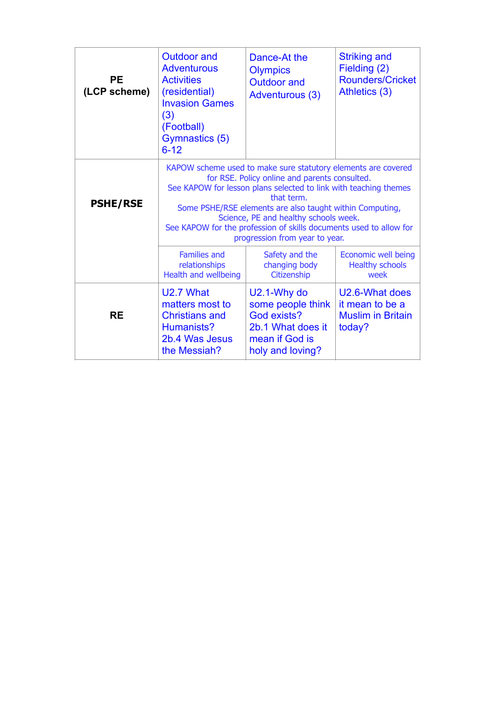| <b>PE</b><br>(LCP scheme) | <b>Outdoor and</b><br><b>Adventurous</b><br><b>Activities</b><br>(residential)<br><b>Invasion Games</b><br>(3)<br>(Football)<br>Gymnastics (5)<br>$6 - 12$                                                                                                                                                                                                                                                    | Dance-At the<br><b>Olympics</b><br><b>Outdoor and</b><br>Adventurous (3)                                          | <b>Striking and</b><br>Fielding (2)<br><b>Rounders/Cricket</b><br>Athletics (3) |
|---------------------------|---------------------------------------------------------------------------------------------------------------------------------------------------------------------------------------------------------------------------------------------------------------------------------------------------------------------------------------------------------------------------------------------------------------|-------------------------------------------------------------------------------------------------------------------|---------------------------------------------------------------------------------|
| <b>PSHE/RSE</b>           | KAPOW scheme used to make sure statutory elements are covered<br>for RSE. Policy online and parents consulted.<br>See KAPOW for lesson plans selected to link with teaching themes<br>that term.<br>Some PSHE/RSE elements are also taught within Computing,<br>Science, PE and healthy schools week.<br>See KAPOW for the profession of skills documents used to allow for<br>progression from year to year. |                                                                                                                   |                                                                                 |
|                           | <b>Families and</b><br>relationships<br>Health and wellbeing                                                                                                                                                                                                                                                                                                                                                  | Safety and the<br>changing body<br>Citizenship                                                                    | Economic well being<br><b>Healthy schools</b><br>week                           |
| <b>RE</b>                 | U2.7 What<br>matters most to<br><b>Christians and</b><br>Humanists?<br>2b.4 Was Jesus<br>the Messiah?                                                                                                                                                                                                                                                                                                         | U2.1-Why do<br>some people think<br><b>God exists?</b><br>2b.1 What does it<br>mean if God is<br>holy and loving? | U2.6-What does<br>it mean to be a<br><b>Muslim in Britain</b><br>today?         |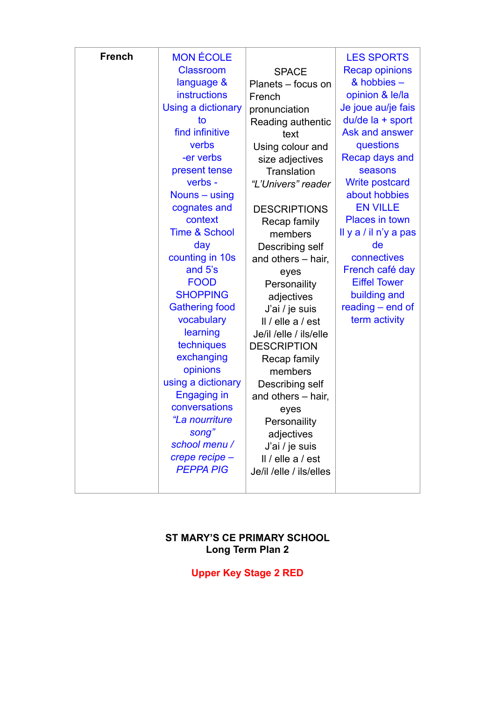| <b>French</b> | <b>MON ÉCOLE</b>         |                         | <b>LES SPORTS</b>     |
|---------------|--------------------------|-------------------------|-----------------------|
|               | <b>Classroom</b>         | <b>SPACE</b>            | <b>Recap opinions</b> |
|               | language &               | Planets - focus on      | & hobbies -           |
|               | <b>instructions</b>      | French                  | opinion & le/la       |
|               | Using a dictionary       | pronunciation           | Je joue au/je fais    |
|               | to                       | Reading authentic       | du/de la + sport      |
|               | find infinitive          | text                    | Ask and answer        |
|               | verbs                    | Using colour and        | questions             |
|               | -er verbs                | size adjectives         | <b>Recap days and</b> |
|               | present tense            | Translation             | seasons               |
|               | verbs -                  | "L'Univers" reader      | <b>Write postcard</b> |
|               | Nouns – using            |                         | about hobbies         |
|               | cognates and             | <b>DESCRIPTIONS</b>     | <b>EN VILLE</b>       |
|               | context                  | Recap family            | <b>Places in town</b> |
|               | <b>Time &amp; School</b> | members                 | Il y a / il n'y a pas |
|               | day                      | Describing self         | de                    |
|               | counting in 10s          | and others - hair,      | connectives           |
|               | and 5's                  | eyes                    | French café day       |
|               | <b>FOOD</b>              | Personaility            | <b>Eiffel Tower</b>   |
|               | <b>SHOPPING</b>          | adjectives              | building and          |
|               | <b>Gathering food</b>    | J'ai / je suis          | reading - end of      |
|               | vocabulary               | Il / elle a / est       | term activity         |
|               | learning                 | Je/il /elle / ils/elle  |                       |
|               | techniques               | <b>DESCRIPTION</b>      |                       |
|               | exchanging               | Recap family            |                       |
|               | opinions                 | members                 |                       |
|               | using a dictionary       | Describing self         |                       |
|               | <b>Engaging in</b>       | and others - hair,      |                       |
|               | conversations            | eyes                    |                       |
|               | "La nourriture           | Personaility            |                       |
|               | song"                    | adjectives              |                       |
|               | school menu /            | J'ai / je suis          |                       |
|               | crepe recipe -           | Il / elle a / est       |                       |
|               | <b>PEPPA PIG</b>         | Je/il /elle / ils/elles |                       |
|               |                          |                         |                       |

## **ST MARY'S CE PRIMARY SCHOOL Long Term Plan 2**

**Upper Key Stage 2 RED**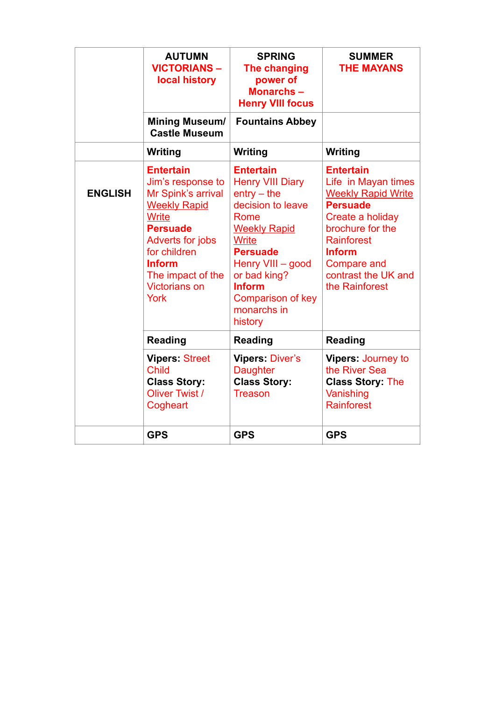|                | <b>AUTUMN</b><br><b>VICTORIANS -</b><br>local history                                                                                                                                                                                  | <b>SPRING</b><br>The changing<br>power of<br>Monarchs-<br><b>Henry VIII focus</b>                                                                                                                                                                        | <b>SUMMER</b><br><b>THE MAYANS</b>                                                                                                                                                                                                   |
|----------------|----------------------------------------------------------------------------------------------------------------------------------------------------------------------------------------------------------------------------------------|----------------------------------------------------------------------------------------------------------------------------------------------------------------------------------------------------------------------------------------------------------|--------------------------------------------------------------------------------------------------------------------------------------------------------------------------------------------------------------------------------------|
|                | <b>Mining Museum/</b><br><b>Castle Museum</b>                                                                                                                                                                                          | <b>Fountains Abbey</b>                                                                                                                                                                                                                                   |                                                                                                                                                                                                                                      |
|                | Writing                                                                                                                                                                                                                                | Writing                                                                                                                                                                                                                                                  | Writing                                                                                                                                                                                                                              |
| <b>ENGLISH</b> | <b>Entertain</b><br>Jim's response to<br>Mr Spink's arrival<br><b>Weekly Rapid</b><br><b>Write</b><br><b>Persuade</b><br>Adverts for jobs<br>for children<br><b>Inform</b><br>The impact of the<br><b>Victorians on</b><br><b>York</b> | <b>Entertain</b><br><b>Henry VIII Diary</b><br>$entry - the$<br>decision to leave<br>Rome<br><b>Weekly Rapid</b><br><b>Write</b><br><b>Persuade</b><br>Henry VIII - good<br>or bad king?<br><b>Inform</b><br>Comparison of key<br>monarchs in<br>history | <b>Entertain</b><br>Life in Mayan times<br><b>Weekly Rapid Write</b><br><b>Persuade</b><br>Create a holiday<br>brochure for the<br><b>Rainforest</b><br><b>Inform</b><br><b>Compare and</b><br>contrast the UK and<br>the Rainforest |
|                | <b>Reading</b>                                                                                                                                                                                                                         | <b>Reading</b>                                                                                                                                                                                                                                           | <b>Reading</b>                                                                                                                                                                                                                       |
|                | <b>Vipers: Street</b><br><b>Child</b><br><b>Class Story:</b><br>Oliver Twist /<br>Cogheart                                                                                                                                             | <b>Vipers: Diver's</b><br><b>Daughter</b><br><b>Class Story:</b><br><b>Treason</b>                                                                                                                                                                       | Vipers: Journey to<br>the River Sea<br><b>Class Story: The</b><br>Vanishing<br><b>Rainforest</b>                                                                                                                                     |
|                | <b>GPS</b>                                                                                                                                                                                                                             | <b>GPS</b>                                                                                                                                                                                                                                               | <b>GPS</b>                                                                                                                                                                                                                           |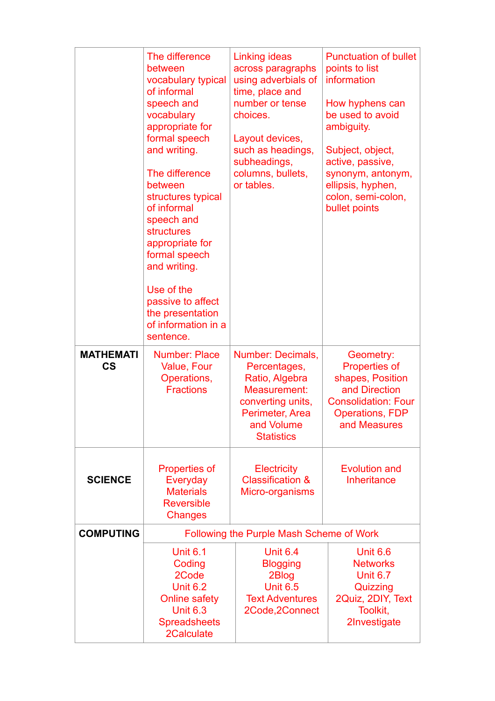|                                   | The difference<br>between<br>vocabulary typical<br>of informal<br>speech and<br>vocabulary<br>appropriate for<br>formal speech<br>and writing.<br>The difference<br>between<br>structures typical<br>of informal<br>speech and<br><b>structures</b><br>appropriate for<br>formal speech<br>and writing.<br>Use of the<br>passive to affect<br>the presentation<br>of information in a<br>sentence. | Linking ideas<br>across paragraphs<br>using adverbials of<br>time, place and<br>number or tense<br>choices.<br>Layout devices,<br>such as headings,<br>subheadings,<br>columns, bullets,<br>or tables. | <b>Punctuation of bullet</b><br>points to list<br>information<br>How hyphens can<br>be used to avoid<br>ambiguity.<br>Subject, object,<br>active, passive,<br>synonym, antonym,<br>ellipsis, hyphen,<br>colon, semi-colon,<br>bullet points |
|-----------------------------------|----------------------------------------------------------------------------------------------------------------------------------------------------------------------------------------------------------------------------------------------------------------------------------------------------------------------------------------------------------------------------------------------------|--------------------------------------------------------------------------------------------------------------------------------------------------------------------------------------------------------|---------------------------------------------------------------------------------------------------------------------------------------------------------------------------------------------------------------------------------------------|
| <b>MATHEMATI</b><br>$\mathsf{cs}$ | <b>Number: Place</b><br><b>Value, Four</b><br>Operations,<br><b>Fractions</b>                                                                                                                                                                                                                                                                                                                      | Number: Decimals,<br>Percentages,<br>Ratio, Algebra<br>Measurement:<br>converting units,<br>Perimeter, Area<br>and Volume<br><b>Statistics</b>                                                         | Geometry:<br><b>Properties of</b><br>shapes, Position<br>and Direction<br><b>Consolidation: Four</b><br><b>Operations, FDP</b><br>and Measures                                                                                              |
| <b>SCIENCE</b>                    | <b>Properties of</b><br>Everyday<br><b>Materials</b><br><b>Reversible</b><br><b>Changes</b>                                                                                                                                                                                                                                                                                                        | <b>Electricity</b><br><b>Classification &amp;</b><br>Micro-organisms                                                                                                                                   | <b>Evolution and</b><br><b>Inheritance</b>                                                                                                                                                                                                  |
| <b>COMPUTING</b>                  | Following the Purple Mash Scheme of Work                                                                                                                                                                                                                                                                                                                                                           |                                                                                                                                                                                                        |                                                                                                                                                                                                                                             |
|                                   | <b>Unit 6.1</b><br>Coding<br>2Code<br><b>Unit 6.2</b><br><b>Online safety</b><br><b>Unit 6.3</b><br><b>Spreadsheets</b><br>2Calculate                                                                                                                                                                                                                                                              | <b>Unit 6.4</b><br><b>Blogging</b><br>2Blog<br><b>Unit 6.5</b><br><b>Text Adventures</b><br>2Code, 2Connect                                                                                            | <b>Unit 6.6</b><br><b>Networks</b><br><b>Unit 6.7</b><br>Quizzing<br>2Quiz, 2DIY, Text<br>Toolkit,<br>2Investigate                                                                                                                          |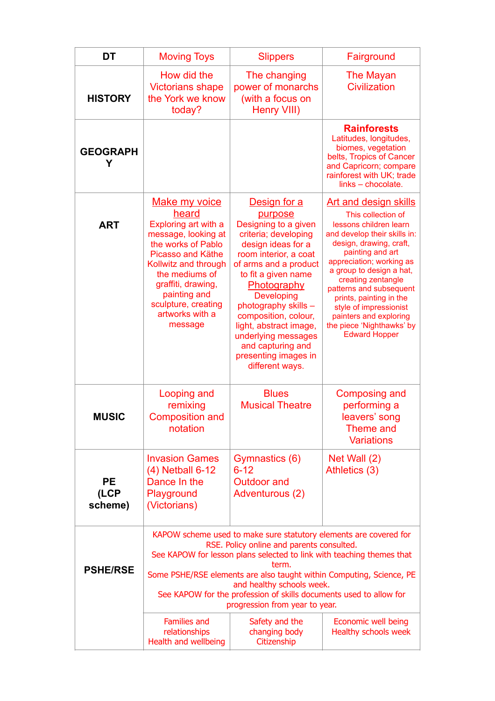| <b>DT</b>                    | <b>Moving Toys</b>                                                                                                                                                                                                                                                                                                                                                                                            | <b>Slippers</b>                                                                                                                                                                                                                                                                                                                                                      | Fairground                                                                                                                                                                                                                                                                                                                                                                                               |
|------------------------------|---------------------------------------------------------------------------------------------------------------------------------------------------------------------------------------------------------------------------------------------------------------------------------------------------------------------------------------------------------------------------------------------------------------|----------------------------------------------------------------------------------------------------------------------------------------------------------------------------------------------------------------------------------------------------------------------------------------------------------------------------------------------------------------------|----------------------------------------------------------------------------------------------------------------------------------------------------------------------------------------------------------------------------------------------------------------------------------------------------------------------------------------------------------------------------------------------------------|
| <b>HISTORY</b>               | How did the<br><b>Victorians shape</b><br>the York we know<br>today?                                                                                                                                                                                                                                                                                                                                          | The changing<br>power of monarchs<br>(with a focus on<br>Henry VIII)                                                                                                                                                                                                                                                                                                 | The Mayan<br><b>Civilization</b>                                                                                                                                                                                                                                                                                                                                                                         |
| <b>GEOGRAPH</b><br>Y         |                                                                                                                                                                                                                                                                                                                                                                                                               |                                                                                                                                                                                                                                                                                                                                                                      | <b>Rainforests</b><br>Latitudes, longitudes,<br>biomes, vegetation<br>belts, Tropics of Cancer<br>and Capricorn; compare<br>rainforest with UK; trade<br>$links - chocolate.$                                                                                                                                                                                                                            |
| <b>ART</b>                   | <b>Make my voice</b><br>heard<br>Exploring art with a<br>message, looking at<br>the works of Pablo<br><b>Picasso and Käthe</b><br>Kollwitz and through<br>the mediums of<br>graffiti, drawing,<br>painting and<br>sculpture, creating<br>artworks with a<br>message                                                                                                                                           | Design for a<br>purpose<br>Designing to a given<br>criteria; developing<br>design ideas for a<br>room interior, a coat<br>of arms and a product<br>to fit a given name<br>Photography<br>Developing<br>photography skills -<br>composition, colour,<br>light, abstract image,<br>underlying messages<br>and capturing and<br>presenting images in<br>different ways. | <b>Art and design skills</b><br>This collection of<br>lessons children learn<br>and develop their skills in:<br>design, drawing, craft,<br>painting and art<br>appreciation; working as<br>a group to design a hat,<br>creating zentangle<br>patterns and subsequent<br>prints, painting in the<br>style of impressionist<br>painters and exploring<br>the piece 'Nighthawks' by<br><b>Edward Hopper</b> |
| <b>MUSIC</b>                 | Looping and<br>remixing<br><b>Composition and</b><br>notation                                                                                                                                                                                                                                                                                                                                                 | <b>Blues</b><br><b>Musical Theatre</b>                                                                                                                                                                                                                                                                                                                               | <b>Composing and</b><br>performing a<br>leavers' song<br>Theme and<br><b>Variations</b>                                                                                                                                                                                                                                                                                                                  |
| <b>PE</b><br>(LCP<br>scheme) | <b>Invasion Games</b><br>$(4)$ Netball 6-12<br>Dance In the<br>Playground<br>(Victorians)                                                                                                                                                                                                                                                                                                                     | Gymnastics (6)<br>$6 - 12$<br><b>Outdoor and</b><br>Adventurous (2)                                                                                                                                                                                                                                                                                                  | Net Wall (2)<br>Athletics (3)                                                                                                                                                                                                                                                                                                                                                                            |
| <b>PSHE/RSE</b>              | KAPOW scheme used to make sure statutory elements are covered for<br>RSE. Policy online and parents consulted.<br>See KAPOW for lesson plans selected to link with teaching themes that<br>term.<br>Some PSHE/RSE elements are also taught within Computing, Science, PE<br>and healthy schools week.<br>See KAPOW for the profession of skills documents used to allow for<br>progression from year to year. |                                                                                                                                                                                                                                                                                                                                                                      |                                                                                                                                                                                                                                                                                                                                                                                                          |
|                              | <b>Families and</b><br>relationships<br>Health and wellbeing                                                                                                                                                                                                                                                                                                                                                  | Safety and the<br>changing body<br>Citizenship                                                                                                                                                                                                                                                                                                                       | Economic well being<br>Healthy schools week                                                                                                                                                                                                                                                                                                                                                              |